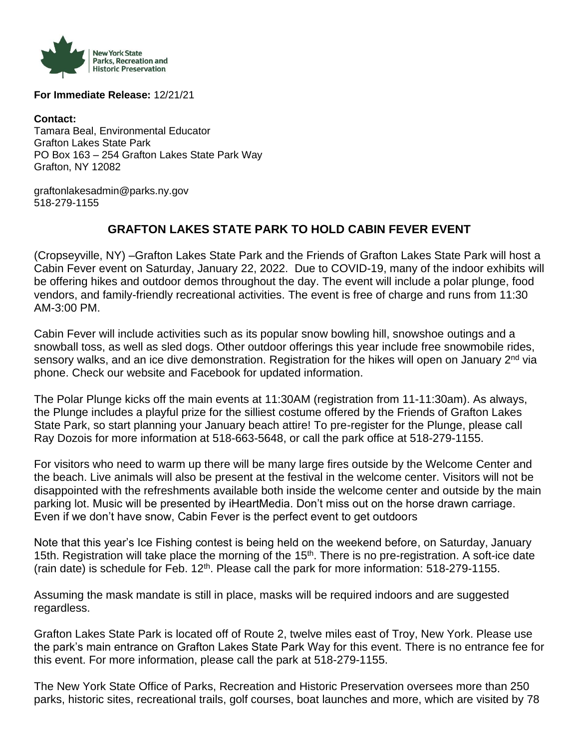

**For Immediate Release:** 12/21/21

**Contact:**  Tamara Beal, Environmental Educator Grafton Lakes State Park PO Box 163 – 254 Grafton Lakes State Park Way Grafton, NY 12082

graftonlakesadmin@parks.ny.gov 518-279-1155

## **GRAFTON LAKES STATE PARK TO HOLD CABIN FEVER EVENT**

(Cropseyville, NY) –Grafton Lakes State Park and the Friends of Grafton Lakes State Park will host a Cabin Fever event on Saturday, January 22, 2022. Due to COVID-19, many of the indoor exhibits will be offering hikes and outdoor demos throughout the day. The event will include a polar plunge, food vendors, and family-friendly recreational activities. The event is free of charge and runs from 11:30 AM-3:00 PM.

Cabin Fever will include activities such as its popular snow bowling hill, snowshoe outings and a snowball toss, as well as sled dogs. Other outdoor offerings this year include free snowmobile rides, sensory walks, and an ice dive demonstration. Registration for the hikes will open on January 2<sup>nd</sup> via phone. Check our website and Facebook for updated information.

The Polar Plunge kicks off the main events at 11:30AM (registration from 11-11:30am). As always, the Plunge includes a playful prize for the silliest costume offered by the Friends of Grafton Lakes State Park, so start planning your January beach attire! To pre-register for the Plunge, please call Ray Dozois for more information at 518-663-5648, or call the park office at 518-279-1155.

For visitors who need to warm up there will be many large fires outside by the Welcome Center and the beach. Live animals will also be present at the festival in the welcome center. Visitors will not be disappointed with the refreshments available both inside the welcome center and outside by the main parking lot. Music will be presented by iHeartMedia. Don't miss out on the horse drawn carriage. Even if we don't have snow, Cabin Fever is the perfect event to get outdoors

Note that this year's Ice Fishing contest is being held on the weekend before, on Saturday, January 15th. Registration will take place the morning of the 15<sup>th</sup>. There is no pre-registration. A soft-ice date (rain date) is schedule for Feb. 12<sup>th</sup>. Please call the park for more information: 518-279-1155.

Assuming the mask mandate is still in place, masks will be required indoors and are suggested regardless.

Grafton Lakes State Park is located off of Route 2, twelve miles east of Troy, New York. Please use the park's main entrance on Grafton Lakes State Park Way for this event. There is no entrance fee for this event. For more information, please call the park at 518-279-1155.

The New York State Office of Parks, Recreation and Historic Preservation oversees more than 250 parks, historic sites, recreational trails, golf courses, boat launches and more, which are visited by 78